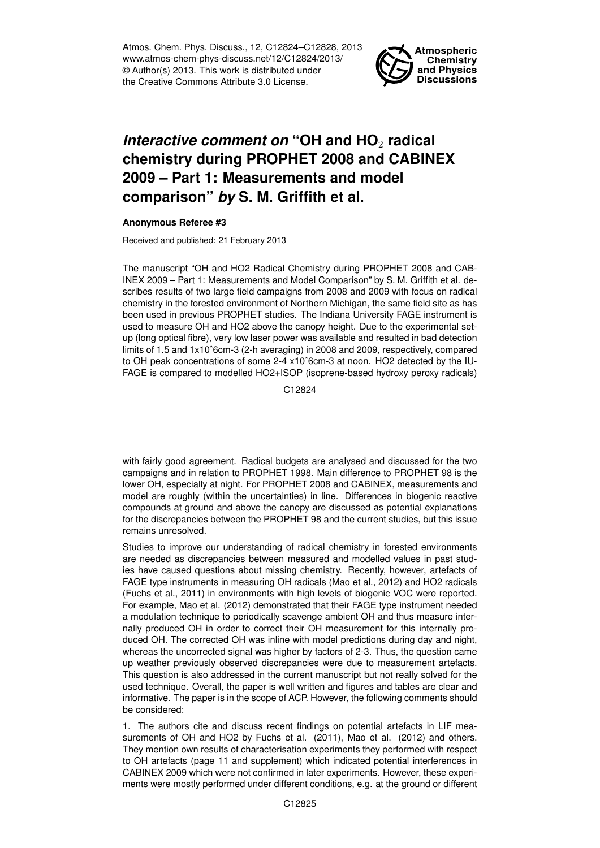Atmos. Chem. Phys. Discuss., 12, C12824–C12828, 2013 www.atmos-chem-phys-discuss.net/12/C12824/2013/ © Author(s) 2013. This work is distributed under the Creative Commons Attribute 3.0 License.



## *Interactive comment on* "OH and HO<sub>2</sub> radical **chemistry during PROPHET 2008 and CABINEX 2009 – Part 1: Measurements and model comparison"** *by* **S. M. Griffith et al.**

## **Anonymous Referee #3**

Received and published: 21 February 2013

The manuscript "OH and HO2 Radical Chemistry during PROPHET 2008 and CAB-INEX 2009 – Part 1: Measurements and Model Comparison" by S. M. Griffith et al. describes results of two large field campaigns from 2008 and 2009 with focus on radical chemistry in the forested environment of Northern Michigan, the same field site as has been used in previous PROPHET studies. The Indiana University FAGE instrument is used to measure OH and HO2 above the canopy height. Due to the experimental setup (long optical fibre), very low laser power was available and resulted in bad detection limits of 1.5 and 1x10ˆ6cm-3 (2-h averaging) in 2008 and 2009, respectively, compared to OH peak concentrations of some 2-4 x10ˆ6cm-3 at noon. HO2 detected by the IU-FAGE is compared to modelled HO2+ISOP (isoprene-based hydroxy peroxy radicals)

C12824

with fairly good agreement. Radical budgets are analysed and discussed for the two campaigns and in relation to PROPHET 1998. Main difference to PROPHET 98 is the lower OH, especially at night. For PROPHET 2008 and CABINEX, measurements and model are roughly (within the uncertainties) in line. Differences in biogenic reactive compounds at ground and above the canopy are discussed as potential explanations for the discrepancies between the PROPHET 98 and the current studies, but this issue remains unresolved.

Studies to improve our understanding of radical chemistry in forested environments are needed as discrepancies between measured and modelled values in past studies have caused questions about missing chemistry. Recently, however, artefacts of FAGE type instruments in measuring OH radicals (Mao et al., 2012) and HO2 radicals (Fuchs et al., 2011) in environments with high levels of biogenic VOC were reported. For example, Mao et al. (2012) demonstrated that their FAGE type instrument needed a modulation technique to periodically scavenge ambient OH and thus measure internally produced OH in order to correct their OH measurement for this internally produced OH. The corrected OH was inline with model predictions during day and night, whereas the uncorrected signal was higher by factors of 2-3. Thus, the question came up weather previously observed discrepancies were due to measurement artefacts. This question is also addressed in the current manuscript but not really solved for the used technique. Overall, the paper is well written and figures and tables are clear and informative. The paper is in the scope of ACP. However, the following comments should be considered:

1. The authors cite and discuss recent findings on potential artefacts in LIF measurements of OH and HO2 by Fuchs et al. (2011), Mao et al. (2012) and others. They mention own results of characterisation experiments they performed with respect to OH artefacts (page 11 and supplement) which indicated potential interferences in CABINEX 2009 which were not confirmed in later experiments. However, these experiments were mostly performed under different conditions, e.g. at the ground or different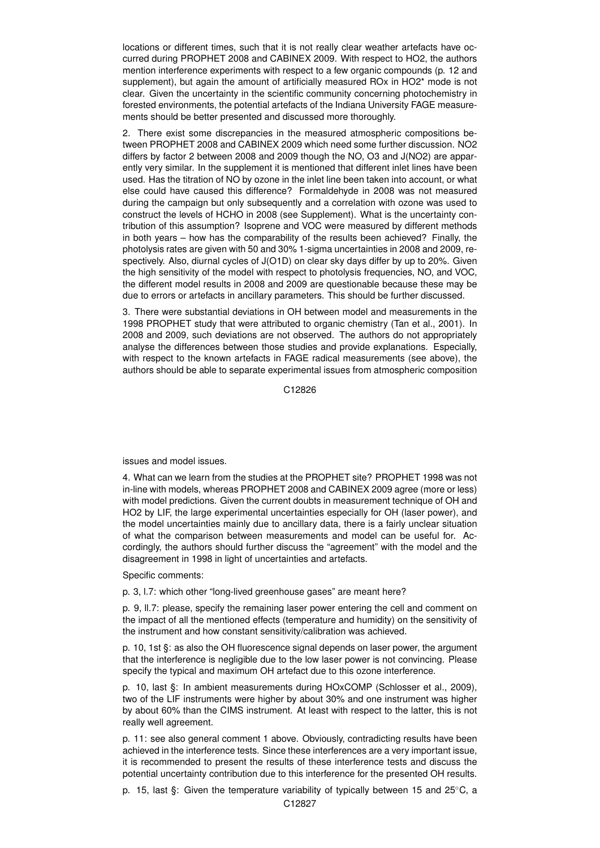locations or different times, such that it is not really clear weather artefacts have occurred during PROPHET 2008 and CABINEX 2009. With respect to HO2, the authors mention interference experiments with respect to a few organic compounds (p. 12 and supplement), but again the amount of artificially measured ROx in HO2\* mode is not clear. Given the uncertainty in the scientific community concerning photochemistry in forested environments, the potential artefacts of the Indiana University FAGE measurements should be better presented and discussed more thoroughly.

2. There exist some discrepancies in the measured atmospheric compositions between PROPHET 2008 and CABINEX 2009 which need some further discussion. NO2 differs by factor 2 between 2008 and 2009 though the NO, O3 and J(NO2) are apparently very similar. In the supplement it is mentioned that different inlet lines have been used. Has the titration of NO by ozone in the inlet line been taken into account, or what else could have caused this difference? Formaldehyde in 2008 was not measured during the campaign but only subsequently and a correlation with ozone was used to construct the levels of HCHO in 2008 (see Supplement). What is the uncertainty contribution of this assumption? Isoprene and VOC were measured by different methods in both years – how has the comparability of the results been achieved? Finally, the photolysis rates are given with 50 and 30% 1-sigma uncertainties in 2008 and 2009, respectively. Also, diurnal cycles of J(O1D) on clear sky days differ by up to 20%. Given the high sensitivity of the model with respect to photolysis frequencies, NO, and VOC, the different model results in 2008 and 2009 are questionable because these may be due to errors or artefacts in ancillary parameters. This should be further discussed.

3. There were substantial deviations in OH between model and measurements in the 1998 PROPHET study that were attributed to organic chemistry (Tan et al., 2001). In 2008 and 2009, such deviations are not observed. The authors do not appropriately analyse the differences between those studies and provide explanations. Especially, with respect to the known artefacts in FAGE radical measurements (see above), the authors should be able to separate experimental issues from atmospheric composition

C12826

issues and model issues.

4. What can we learn from the studies at the PROPHET site? PROPHET 1998 was not in-line with models, whereas PROPHET 2008 and CABINEX 2009 agree (more or less) with model predictions. Given the current doubts in measurement technique of OH and HO2 by LIF, the large experimental uncertainties especially for OH (laser power), and the model uncertainties mainly due to ancillary data, there is a fairly unclear situation of what the comparison between measurements and model can be useful for. Accordingly, the authors should further discuss the "agreement" with the model and the disagreement in 1998 in light of uncertainties and artefacts.

Specific comments:

p. 3, l.7: which other "long-lived greenhouse gases" are meant here?

p. 9, ll.7: please, specify the remaining laser power entering the cell and comment on the impact of all the mentioned effects (temperature and humidity) on the sensitivity of the instrument and how constant sensitivity/calibration was achieved.

p. 10, 1st §: as also the OH fluorescence signal depends on laser power, the argument that the interference is negligible due to the low laser power is not convincing. Please specify the typical and maximum OH artefact due to this ozone interference.

p. 10, last §: In ambient measurements during HOxCOMP (Schlosser et al., 2009), two of the LIF instruments were higher by about 30% and one instrument was higher by about 60% than the CIMS instrument. At least with respect to the latter, this is not really well agreement.

p. 11: see also general comment 1 above. Obviously, contradicting results have been achieved in the interference tests. Since these interferences are a very important issue, it is recommended to present the results of these interference tests and discuss the potential uncertainty contribution due to this interference for the presented OH results.

p. 15, last §: Given the temperature variability of typically between 15 and 25◦C, a